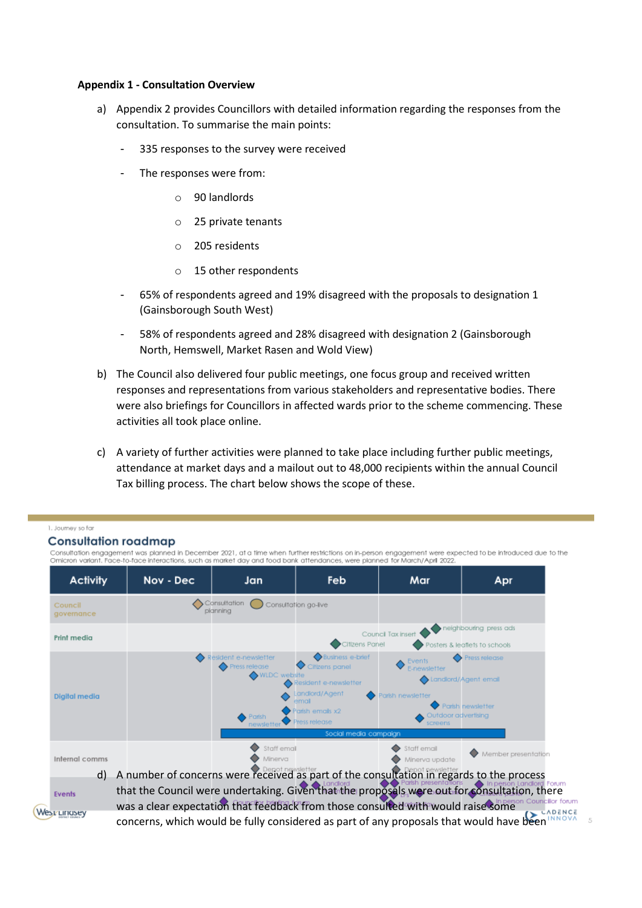## **Appendix 1 - Consultation Overview**

- a) Appendix 2 provides Councillors with detailed information regarding the responses from the consultation. To summarise the main points:
	- 335 responses to the survey were received
	- The responses were from:
		- o 90 landlords
		- o 25 private tenants
		- o 205 residents
		- o 15 other respondents
	- 65% of respondents agreed and 19% disagreed with the proposals to designation 1 (Gainsborough South West)
	- 58% of respondents agreed and 28% disagreed with designation 2 (Gainsborough North, Hemswell, Market Rasen and Wold View)
- b) The Council also delivered four public meetings, one focus group and received written responses and representations from various stakeholders and representative bodies. There were also briefings for Councillors in affected wards prior to the scheme commencing. These activities all took place online.
- c) A variety of further activities were planned to take place including further public meetings, attendance at market days and a mailout out to 48,000 recipients within the annual Council Tax billing process. The chart below shows the scope of these.

## 1. Journey so far

Events

West Linusey

## **Consultation roadmap**

Consultation engagement was planned in December 2021, at a time when further restrictions on in-person engagement were expected to be introduced due to the<br>Omicron variant, Face-to-face interactions, such as market day and

| <b>Activity</b>       | Nov - Dec                                                                                       | Jan                                                                                   | Feb                                                                                                                                                 | Mar                                                                                                  | Apr                                |
|-----------------------|-------------------------------------------------------------------------------------------------|---------------------------------------------------------------------------------------|-----------------------------------------------------------------------------------------------------------------------------------------------------|------------------------------------------------------------------------------------------------------|------------------------------------|
| Council<br>governance |                                                                                                 | Consultation<br>planning                                                              | Consultation go-live                                                                                                                                |                                                                                                      |                                    |
| Print media           | neighbouring press ads<br>Council Tax insert<br>Citizens Panel<br>Posters & leaflets to schools |                                                                                       |                                                                                                                                                     |                                                                                                      |                                    |
| Digital media         |                                                                                                 | esident e-newsletter<br><b>Press release</b><br>◆ WLDC website<br>Parish<br>newslette | Business e-brief<br>Citizens panel<br>tesident e-newsletter<br>Landlord/Agent<br>emai<br>Parish emails x2<br>Press release<br>Social media campaign | Events<br>E-newsletter<br>Landlord/Agent email<br>crish newsletter<br>Outdoor advertising<br>screens | Press release<br>Parish newsletter |
| Internal comms<br>d)  | A number of concerns were received as part of the consultation in regards to the process        | Staff email<br>Minerva                                                                |                                                                                                                                                     | Staff email<br>Minerva update                                                                        | Member presentation                |

that the Council were undertaking. Given that the proposals were out for consultation, there was a clear expectation that feedback from those consulted with would raise some councilor forum CADENCE concerns, which would be fully considered as part of any proposals that would have been